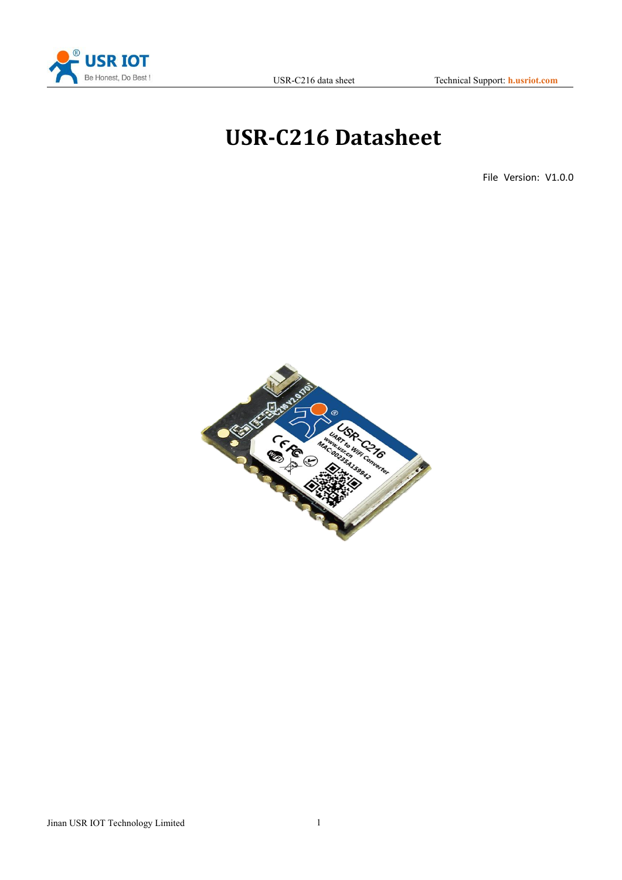

# **USR-C216 Datasheet**

File Version: V1.0.0

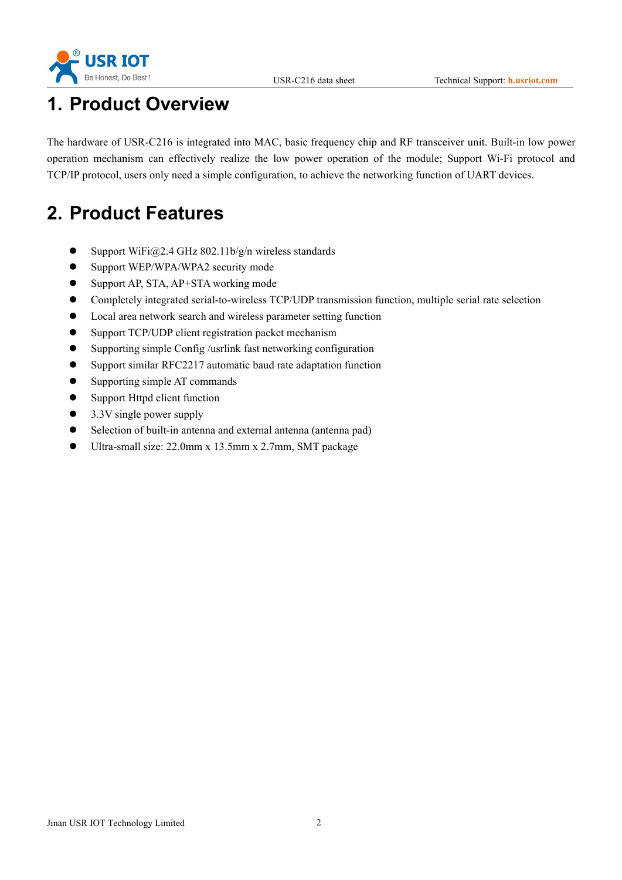



# **1. Product Overview**

The hardware of USR-C216 is integrated into MAC, basic frequency chip and RF transceiver unit. Built-in low power operation mechanism can effectively realize the low power operation of the module; Support Wi-Fi protocol and TCP/IP protocol, users only need a simple configuration, to achieve the networking function of UART devices.

# **2. Product Features**

- $\bullet$  Support WiFi@2.4 GHz 802.11b/g/n wireless standards
- Support WEP/WPA/WPA2 security mode
- Support AP, STA, AP+STA working mode
- Completely integrated serial-to-wireless TCP/UDP transmission function, multiple serial rate selection
- Local area network search and wireless parameter setting function
- Support TCP/UDP client registration packet mechanism
- Supporting simple Config /usrlink fast networking configuration
- Support similar RFC2217 automatic baud rate adaptation function
- Supporting simple AT commands
- Support Httpd client function
- 3.3V single power supply
- Selection of built-in antenna and external antenna (antenna pad)
- Ultra-small size: 22.0mm x 13.5mm x 2.7mm, SMT package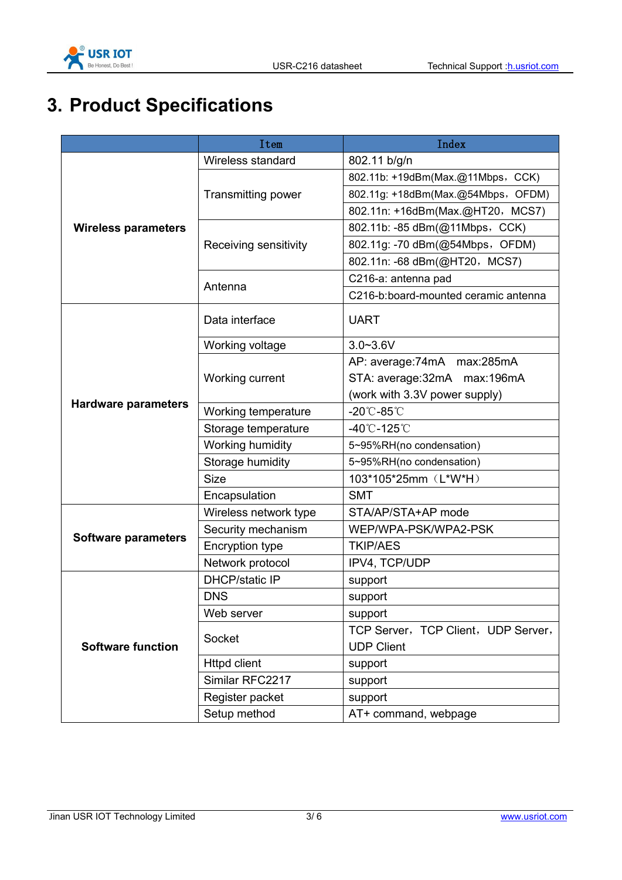

# **3. Product Specifications**

|                            | Item                      | Index                                |
|----------------------------|---------------------------|--------------------------------------|
|                            | Wireless standard         | 802.11 b/g/n                         |
|                            | <b>Transmitting power</b> | 802.11b: +19dBm(Max.@11Mbps, CCK)    |
|                            |                           | 802.11g: +18dBm(Max.@54Mbps, OFDM)   |
|                            |                           | 802.11n: +16dBm(Max.@HT20, MCS7)     |
| <b>Wireless parameters</b> | Receiving sensitivity     | 802.11b: -85 dBm(@11Mbps, CCK)       |
|                            |                           | 802.11g: -70 dBm(@54Mbps, OFDM)      |
|                            |                           | 802.11n: -68 dBm(@HT20, MCS7)        |
|                            | Antenna                   | C216-a: antenna pad                  |
|                            |                           | C216-b:board-mounted ceramic antenna |
|                            | Data interface            | <b>UART</b>                          |
|                            | Working voltage           | $3.0 - 3.6V$                         |
|                            | Working current           | AP: average:74mA max:285mA           |
| <b>Hardware parameters</b> |                           | STA: average: 32mA max: 196mA        |
|                            |                           | (work with 3.3V power supply)        |
|                            | Working temperature       | $-20^{\circ}$ C $-85^{\circ}$ C      |
|                            | Storage temperature       | $-40^{\circ}$ C $-125^{\circ}$ C     |
|                            | Working humidity          | 5~95%RH(no condensation)             |
|                            | Storage humidity          | 5~95%RH(no condensation)             |
|                            | <b>Size</b>               | 103*105*25mm (L*W*H)                 |
|                            | Encapsulation             | <b>SMT</b>                           |
|                            | Wireless network type     | STA/AP/STA+AP mode                   |
|                            | Security mechanism        | WEP/WPA-PSK/WPA2-PSK                 |
| <b>Software parameters</b> | <b>Encryption type</b>    | <b>TKIP/AES</b>                      |
|                            | Network protocol          | IPV4, TCP/UDP                        |
|                            | <b>DHCP/static IP</b>     | support                              |
|                            | <b>DNS</b>                | support                              |
|                            | Web server                | support                              |
|                            | Socket                    | TCP Server, TCP Client, UDP Server,  |
| <b>Software function</b>   |                           | <b>UDP Client</b>                    |
|                            | <b>Httpd client</b>       | support                              |
|                            | Similar RFC2217           | support                              |
|                            | Register packet           | support                              |
|                            | Setup method              | AT+ command, webpage                 |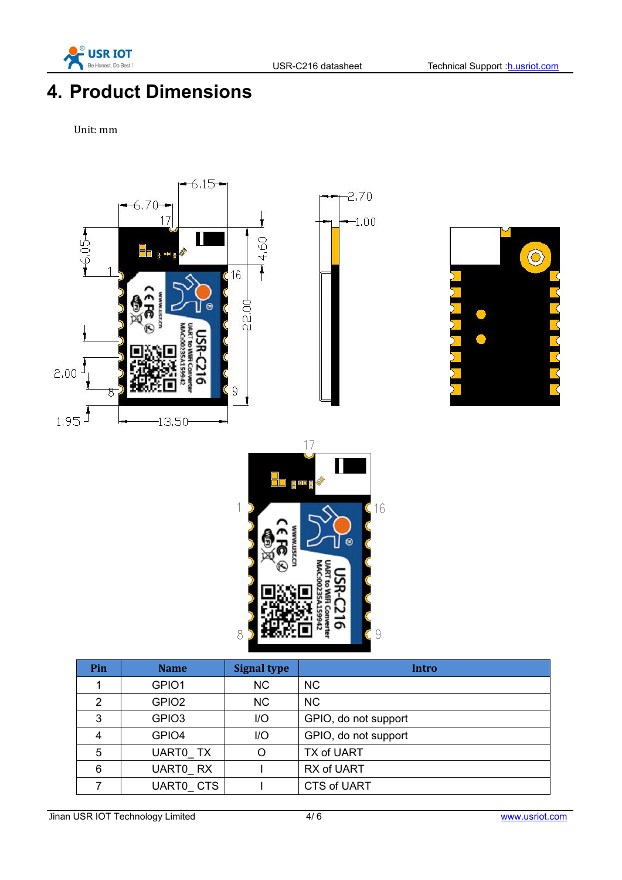

# **4. Product Dimensions**

Unit: mm



Jinan USR IOT Technology Limited 4/6 www.usriot.com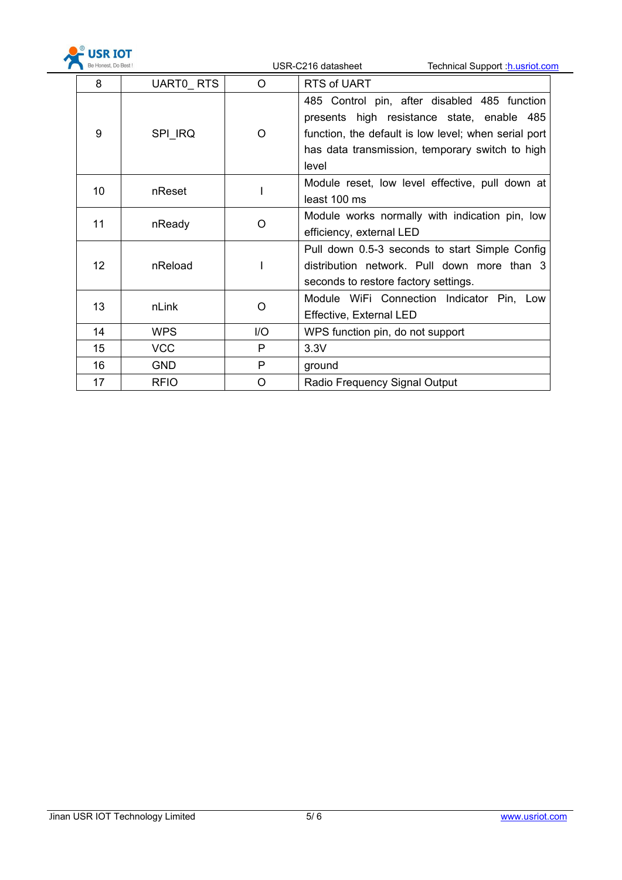

| Be Honest, Do Best ! |             |         | USR-C216 datasheet<br>Technical Support : h.usriot.com                                                                                                                                                         |
|----------------------|-------------|---------|----------------------------------------------------------------------------------------------------------------------------------------------------------------------------------------------------------------|
| 8                    | UARTO RTS   | $\circ$ | RTS of UART                                                                                                                                                                                                    |
| 9                    | SPI IRQ     | $\circ$ | 485 Control pin, after disabled 485 function<br>presents high resistance state, enable 485<br>function, the default is low level; when serial port<br>has data transmission, temporary switch to high<br>level |
| 10                   | nReset      |         | Module reset, low level effective, pull down at<br>least 100 ms                                                                                                                                                |
| 11                   | nReady      | $\circ$ | Module works normally with indication pin, low<br>efficiency, external LED                                                                                                                                     |
| 12 <sup>°</sup>      | nReload     |         | Pull down 0.5-3 seconds to start Simple Config<br>distribution network. Pull down more than 3<br>seconds to restore factory settings.                                                                          |
| 13                   | nLink       | O       | Module WiFi Connection Indicator Pin, Low<br>Effective, External LED                                                                                                                                           |
| 14                   | <b>WPS</b>  | I/O     | WPS function pin, do not support                                                                                                                                                                               |
| 15                   | <b>VCC</b>  | P       | 3.3V                                                                                                                                                                                                           |
| 16                   | <b>GND</b>  | P       | ground                                                                                                                                                                                                         |
| 17                   | <b>RFIO</b> | $\circ$ | Radio Frequency Signal Output                                                                                                                                                                                  |